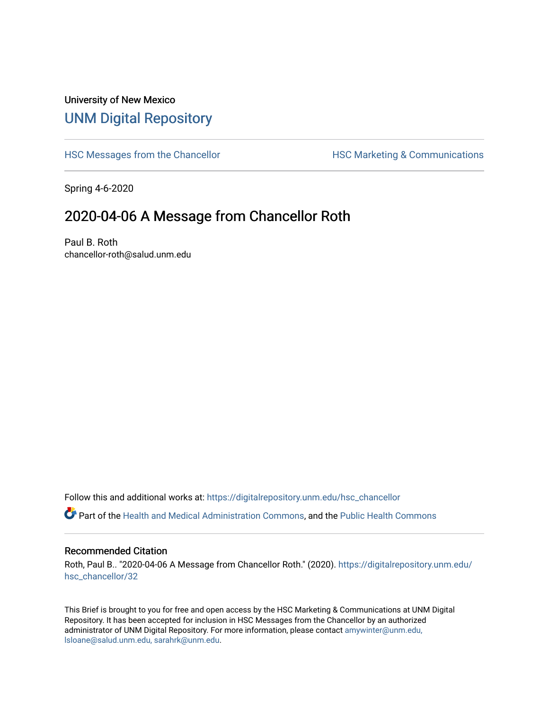## University of New Mexico [UNM Digital Repository](https://digitalrepository.unm.edu/)

[HSC Messages from the Chancellor](https://digitalrepository.unm.edu/hsc_chancellor) **HSC Marketing & Communications** 

Spring 4-6-2020

## 2020-04-06 A Message from Chancellor Roth

Paul B. Roth chancellor-roth@salud.unm.edu

Follow this and additional works at: [https://digitalrepository.unm.edu/hsc\\_chancellor](https://digitalrepository.unm.edu/hsc_chancellor?utm_source=digitalrepository.unm.edu%2Fhsc_chancellor%2F32&utm_medium=PDF&utm_campaign=PDFCoverPages) 

Part of the [Health and Medical Administration Commons](http://network.bepress.com/hgg/discipline/663?utm_source=digitalrepository.unm.edu%2Fhsc_chancellor%2F32&utm_medium=PDF&utm_campaign=PDFCoverPages), and the [Public Health Commons](http://network.bepress.com/hgg/discipline/738?utm_source=digitalrepository.unm.edu%2Fhsc_chancellor%2F32&utm_medium=PDF&utm_campaign=PDFCoverPages) 

#### Recommended Citation

Roth, Paul B.. "2020-04-06 A Message from Chancellor Roth." (2020). [https://digitalrepository.unm.edu/](https://digitalrepository.unm.edu/hsc_chancellor/32?utm_source=digitalrepository.unm.edu%2Fhsc_chancellor%2F32&utm_medium=PDF&utm_campaign=PDFCoverPages) [hsc\\_chancellor/32](https://digitalrepository.unm.edu/hsc_chancellor/32?utm_source=digitalrepository.unm.edu%2Fhsc_chancellor%2F32&utm_medium=PDF&utm_campaign=PDFCoverPages) 

This Brief is brought to you for free and open access by the HSC Marketing & Communications at UNM Digital Repository. It has been accepted for inclusion in HSC Messages from the Chancellor by an authorized administrator of UNM Digital Repository. For more information, please contact [amywinter@unm.edu,](mailto:amywinter@unm.edu,%20lsloane@salud.unm.edu,%20sarahrk@unm.edu) [lsloane@salud.unm.edu, sarahrk@unm.edu.](mailto:amywinter@unm.edu,%20lsloane@salud.unm.edu,%20sarahrk@unm.edu)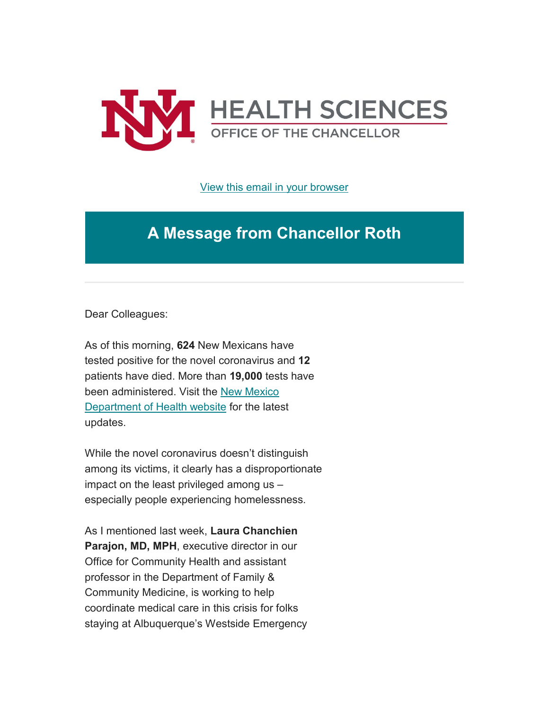

[View this email in your browser](https://mailchi.mp/d2ba68a26ec0/message-from-the-chancellor-coronavirus-4373152?e=b4bbfca2c0)

# **A Message from Chancellor Roth**

Dear Colleagues:

As of this morning, **624** New Mexicans have tested positive for the novel coronavirus and **12** patients have died. More than **19,000** tests have been administered. Visit the [New Mexico](https://unm.us19.list-manage.com/track/click?u=59ce53c1a4dedb490bac78648&id=676d0add71&e=b4bbfca2c0)  [Department of Health website](https://unm.us19.list-manage.com/track/click?u=59ce53c1a4dedb490bac78648&id=676d0add71&e=b4bbfca2c0) for the latest updates.

While the novel coronavirus doesn't distinguish among its victims, it clearly has a disproportionate impact on the least privileged among us – especially people experiencing homelessness.

As I mentioned last week, **Laura Chanchien Parajon, MD, MPH**, executive director in our Office for Community Health and assistant professor in the Department of Family & Community Medicine, is working to help coordinate medical care in this crisis for folks staying at Albuquerque's Westside Emergency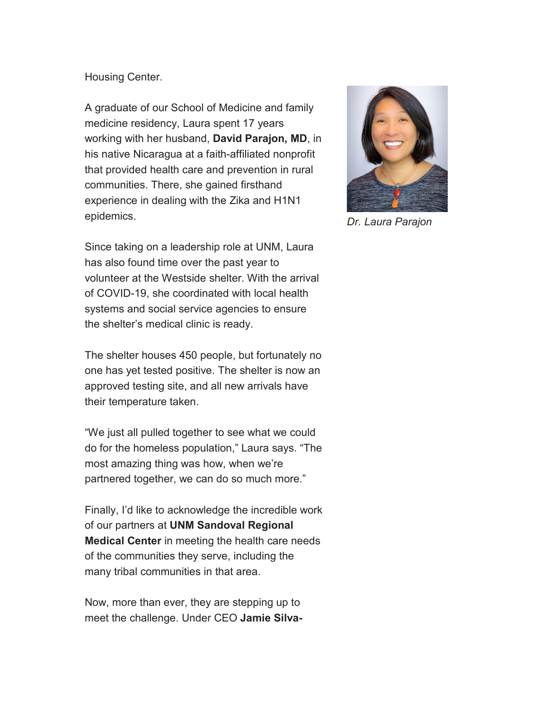### Housing Center.

A graduate of our School of Medicine and family medicine residency, Laura spent 17 years working with her husband, **David Parajon, MD**, in his native Nicaragua at a faith-affiliated nonprofit that provided health care and prevention in rural communities. There, she gained firsthand experience in dealing with the Zika and H1N1 epidemics.

Since taking on a leadership role at UNM, Laura has also found time over the past year to volunteer at the Westside shelter. With the arrival of COVID-19, she coordinated with local health systems and social service agencies to ensure the shelter's medical clinic is ready.

The shelter houses 450 people, but fortunately no one has yet tested positive. The shelter is now an approved testing site, and all new arrivals have their temperature taken.

"We just all pulled together to see what we could do for the homeless population," Laura says. "The most amazing thing was how, when we're partnered together, we can do so much more."

Finally, I'd like to acknowledge the incredible work of our partners at **UNM Sandoval Regional Medical Center** in meeting the health care needs of the communities they serve, including the many tribal communities in that area.

Now, more than ever, they are stepping up to meet the challenge. Under CEO **Jamie Silva-**



*Dr. Laura Parajon*